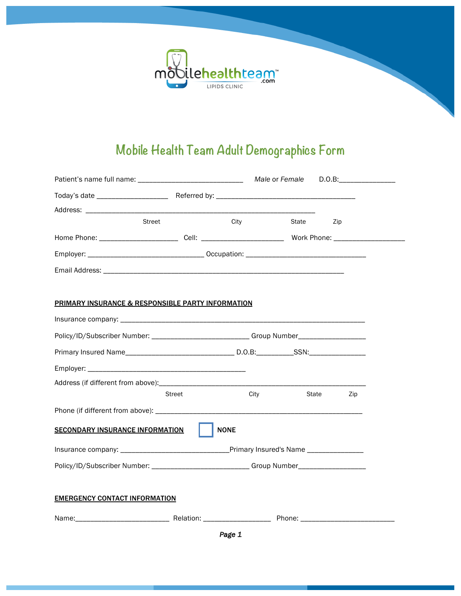

## **Mobile Health Team Adult Demographics Form**

|                                                                                                                |                                                                                   |      | Male or Female |       | $D.O.B:\_$ |
|----------------------------------------------------------------------------------------------------------------|-----------------------------------------------------------------------------------|------|----------------|-------|------------|
|                                                                                                                |                                                                                   |      |                |       |            |
|                                                                                                                |                                                                                   |      |                |       |            |
| Street                                                                                                         |                                                                                   | City | State          | Zip   |            |
| Home Phone: _____________________________Cell: _________________________________ Work Phone: _________________ |                                                                                   |      |                |       |            |
|                                                                                                                |                                                                                   |      |                |       |            |
|                                                                                                                |                                                                                   |      |                |       |            |
|                                                                                                                |                                                                                   |      |                |       |            |
| <b>PRIMARY INSURANCE &amp; RESPONSIBLE PARTY INFORMATION</b>                                                   |                                                                                   |      |                |       |            |
|                                                                                                                |                                                                                   |      |                |       |            |
| Policy/ID/Subscriber Number: ________________________Group Number_______________                               |                                                                                   |      |                |       |            |
|                                                                                                                |                                                                                   |      |                |       |            |
|                                                                                                                |                                                                                   |      |                |       |            |
|                                                                                                                |                                                                                   |      |                |       |            |
|                                                                                                                | <b>Street</b>                                                                     | City |                | State | Zip        |
|                                                                                                                |                                                                                   |      |                |       |            |
| <b>SECONDARY INSURANCE INFORMATION</b>                                                                         | <b>NONE</b>                                                                       |      |                |       |            |
|                                                                                                                |                                                                                   |      |                |       |            |
|                                                                                                                | Policy/ID/Subscriber Number: __________________________Group Number______________ |      |                |       |            |
|                                                                                                                |                                                                                   |      |                |       |            |
| <b>EMERGENCY CONTACT INFORMATION</b>                                                                           |                                                                                   |      |                |       |            |
|                                                                                                                |                                                                                   |      |                |       |            |

*Page 1*